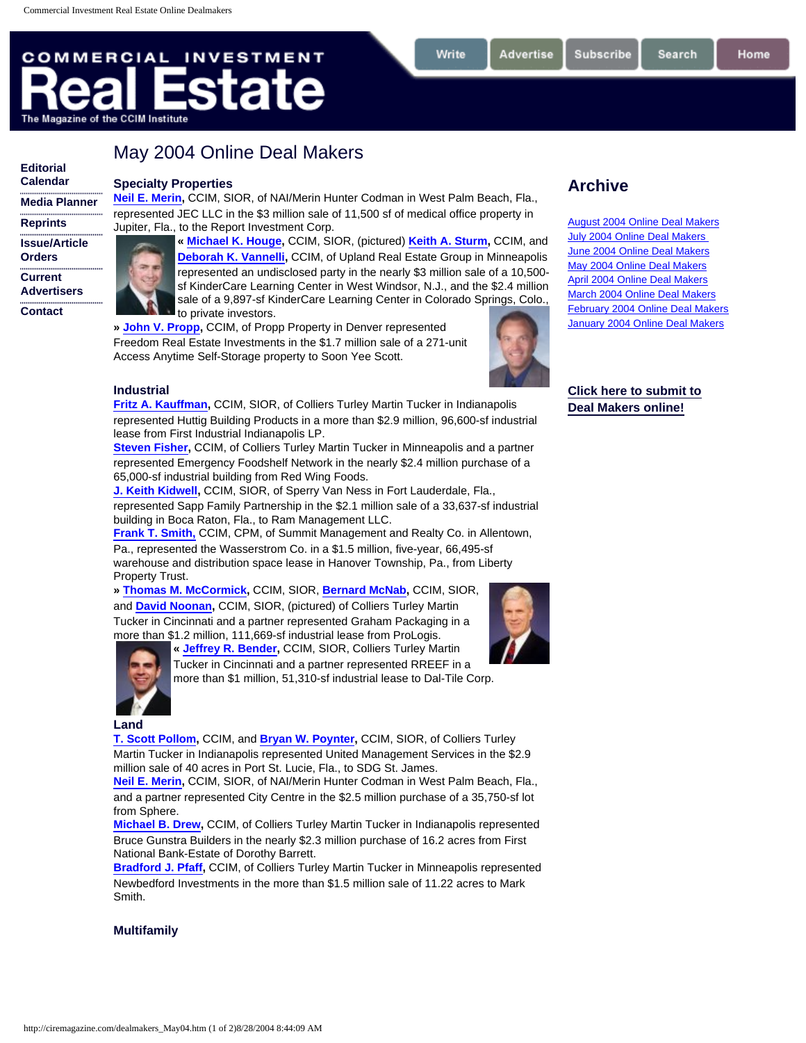# **COMMERCIAL INVESTMENT** ate The Magazine of the CCIM Institute

# **[Editorial](http://ciremagazine.com/edcal.htm) [Calendar](http://ciremagazine.com/edcal.htm)**

**[Reprints](http://ciremagazine.com/reprints.htm) [Issue/Article](http://ciremagazine.com/orders.htm) [Orders](http://ciremagazine.com/orders.htm) [Current](http://ciremagazine.com/advertisers.htm) [Advertisers](http://ciremagazine.com/advertisers.htm) [Contact](http://ciremagazine.com/contact.htm)**

**[Media Planner](http://ciremagazine.com/mediaplanner.htm)**

**Specialty Properties**

May 2004 Online Deal Makers

**[Neil E. Merin](http://www.ccim.com/services/member/redbook_detail.jsp?id=06345852),** CCIM, SIOR, of NAI/Merin Hunter Codman in West Palm Beach, Fla., represented JEC LLC in the \$3 million sale of 11,500 sf of medical office property in Jupiter, Fla., to the Report Investment Corp.

> **« [Michael K. Houge](http://www.ccim.com/services/member/redbook_detail.jsp?id=06445364),** CCIM, SIOR, (pictured) **[Keith A. Sturm](http://www.ccim.com/services/member/redbook_detail.jsp?id=06314067),** CCIM, and **[Deborah K. Vannelli](http://www.ccim.com/services/member/redbook_detail.jsp?id=06620007),** CCIM, of Upland Real Estate Group in Minneapolis represented an undisclosed party in the nearly \$3 million sale of a 10,500 sf KinderCare Learning Center in West Windsor, N.J., and the \$2.4 million sale of a 9,897-sf KinderCare Learning Center in Colorado Springs, Colo., to private investors.

**» [John V. Propp](http://www.ccim.com/services/member/redbook_detail.jsp?id=06487969),** CCIM, of Propp Property in Denver represented Freedom Real Estate Investments in the \$1.7 million sale of a 271-unit Access Anytime Self-Storage property to Soon Yee Scott.



Advertise

Write

## **Industrial**

**[Fritz A. Kauffman,](http://www.ccim.com/services/member/redbook_detail.jsp?id=06255847)** CCIM, SIOR, of Colliers Turley Martin Tucker in Indianapolis represented Huttig Building Products in a more than \$2.9 million, 96,600-sf industrial lease from First Industrial Indianapolis LP.

**[Steven Fisher,](http://www.ccim.com/services/member/redbook_detail.jsp?id=06603389) CCIM, of Colliers Turley Martin Tucker in Minneapolis and a partner** represented Emergency Foodshelf Network in the nearly \$2.4 million purchase of a 65,000-sf industrial building from Red Wing Foods.

**[J. Keith Kidwell](http://www.ccim.com/services/member/redbook_detail.jsp?id=06451903),** CCIM, SIOR, of Sperry Van Ness in Fort Lauderdale, Fla., represented Sapp Family Partnership in the \$2.1 million sale of a 33,637-sf industrial building in Boca Raton, Fla., to Ram Management LLC.

**[Frank T. Smith,](http://www.ccim.com/services/member/redbook_detail.jsp?id=06487158)** CCIM, CPM, of Summit Management and Realty Co. in Allentown, Pa., represented the Wasserstrom Co. in a \$1.5 million, five-year, 66,495-sf warehouse and distribution space lease in Hanover Township, Pa., from Liberty Property Trust.

**» [Thomas M. McCormick,](http://www.ccim.com/services/member/redbook_detail.jsp?id=06473618)** CCIM, SIOR, **[Bernard McNab,](http://www.ccim.com/services/member/redbook_detail.jsp?id=06627738)** CCIM, SIOR, and **[David Noonan](http://www.ccim.com/services/member/redbook_detail.jsp?id=06496723),** CCIM, SIOR, (pictured) of Colliers Turley Martin Tucker in Cincinnati and a partner represented Graham Packaging in a [more than \\$](http://www.ccim.com/services/member/redbook_detail.jsp?id=06604807)1.2 million, 111,669-sf industrial lease from ProLogis.



**« [Jeffrey R. Bender](http://www.ccim.com/services/member/redbook_detail.jsp?id=06604807),** CCIM, SIOR, Colliers Turley Martin Tucker in Cincinnati and a partner represented RREEF in a

more than \$1 million, 51,310-sf industrial lease to Dal-Tile Corp.

#### **Land**

**[T. Scott Pollom](http://www.ccim.com/services/member/redbook_detail.jsp?id=06255891),** CCIM, and **[Bryan W. Poynter,](http://www.ccim.com/services/member/redbook_detail.jsp?id=06624629)** CCIM, SIOR, of Colliers Turley Martin Tucker in Indianapolis represented United Management Services in the \$2.9 million sale of 40 acres in Port St. Lucie, Fla., to SDG St. James.

**[Neil E. Merin](http://www.ccim.com/services/member/redbook_detail.jsp?id=06345852),** CCIM, SIOR, of NAI/Merin Hunter Codman in West Palm Beach, Fla., and a partner represented City Centre in the \$2.5 million purchase of a 35,750-sf lot from Sphere.

**[Michael B. Drew](http://www.ccim.com/services/member/redbook_detail.jsp?id=06320396),** CCIM, of Colliers Turley Martin Tucker in Indianapolis represented Bruce Gunstra Builders in the nearly \$2.3 million purchase of 16.2 acres from First National Bank-Estate of Dorothy Barrett.

**[Bradford J. Pfaff,](http://www.ccim.com/services/member/redbook_detail.jsp?id=06611253)** CCIM, of Colliers Turley Martin Tucker in Minneapolis represented Newbedford Investments in the more than \$1.5 million sale of 11.22 acres to Mark Smith.

### **Multifamily**

**Archive**

**Subscribe** 

[August 2004 Online Deal Makers](http://ciremagazine.com/dealmakers_aug04.htm) [July 2004 Online Deal Makers](http://ciremagazine.com/dealmakers_Jul04.htm) [June 2004 Online Deal Makers](http://ciremagazine.com/dealmakers_Jun04.htm) [May 2004 Online Deal Makers](http://ciremagazine.com/dealmakers_may04.htm) [April 2004 Online Deal Makers](http://ciremagazine.com/dealmakers_apr04.htm) [March 2004 Online Deal Makers](http://ciremagazine.com/dealmakers_mar04.htm) [February 2004 Online Deal Makers](http://ciremagazine.com/dealmakers_feb04.htm) [January 2004 Online Deal Makers](http://ciremagazine.com/dealmakers_jan04.htm)

**[Click here to submit to](http://ciremagazine.com/dealmakers.html) [Deal Makers online!](http://ciremagazine.com/dealmakers.html)** 

Search